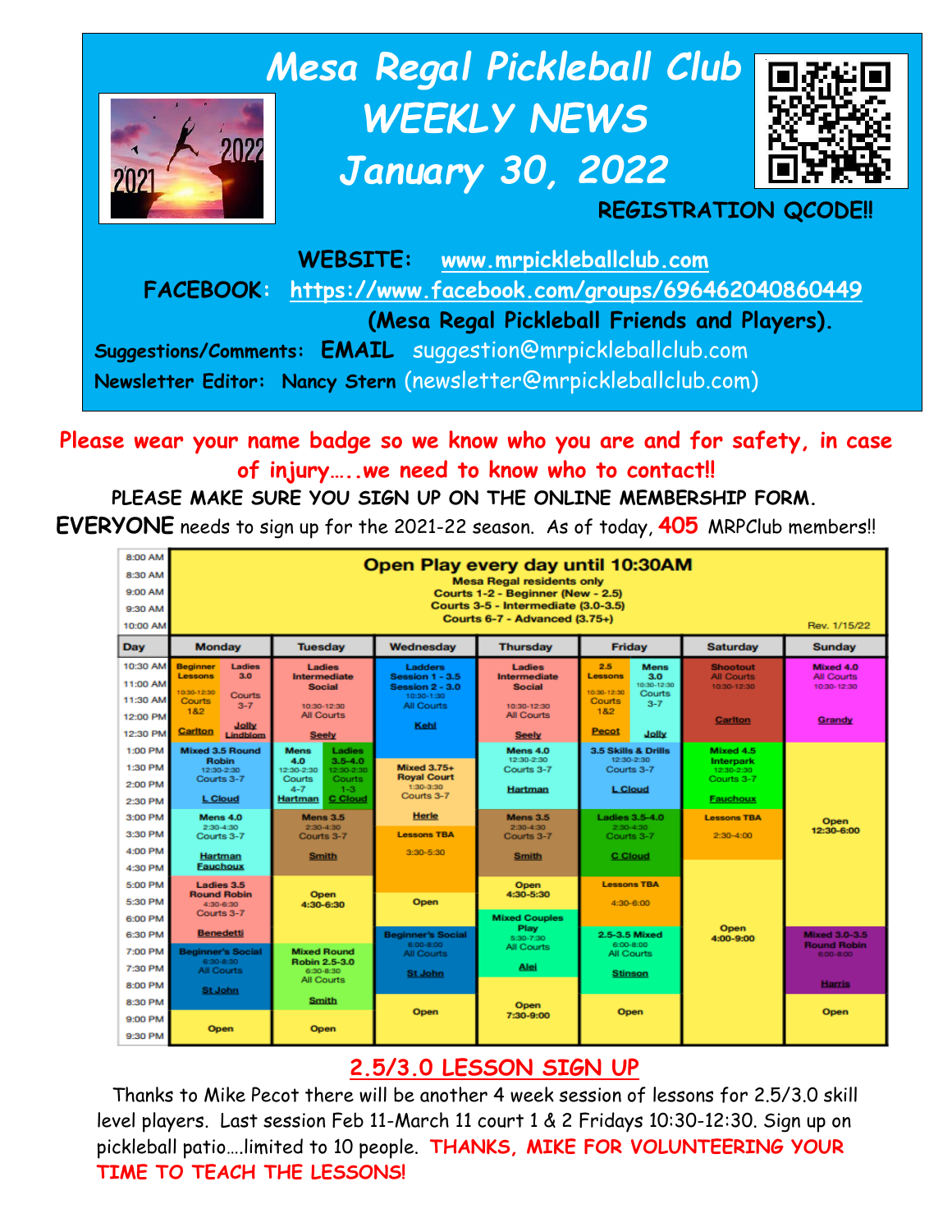

## **Please wear your name badge so we know who you are and for safety, in case of injury…..we need to know who to contact!!**

## **PLEASE MAKE SURE YOU SIGN UP ON THE ONLINE MEMBERSHIP FORM. EVERYONE** needs to sign up for the 2021-22 season. As of today, **405** MRPClub members!!



# **2.5/3.0 LESSON SIGN UP**

Thanks to Mike Pecot there will be another 4 week session of lessons for 2.5/3.0 skill level players. Last session Feb 11-March 11 court 1 & 2 Fridays 10:30-12:30. Sign up on pickleball patio….limited to 10 people. **THANKS, MIKE FOR VOLUNTEERING YOUR TIME TO TEACH THE LESSONS!**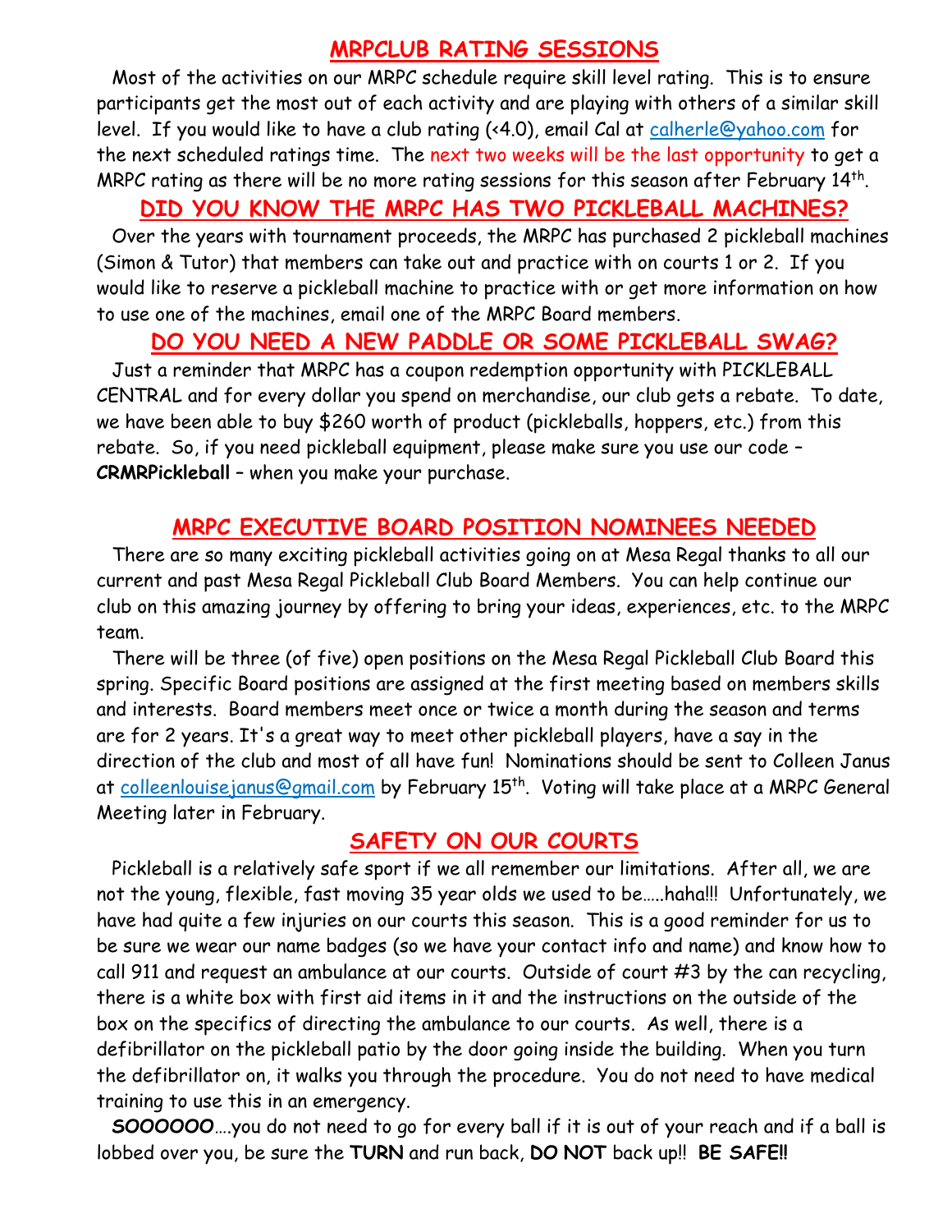#### **MRPCLUB RATING SESSIONS**

Most of the activities on our MRPC schedule require skill level rating. This is to ensure participants get the most out of each activity and are playing with others of a similar skill level. If you would like to have a club rating (<4.0), email Cal at [calherle@yahoo.com](mailto:calherle@yahoo.com) for the next scheduled ratings time. The next two weeks will be the last opportunity to get a MRPC rating as there will be no more rating sessions for this season after February  $14^{\text{th}}$ .

## **DID YOU KNOW THE MRPC HAS TWO PICKLEBALL MACHINES?**

Over the years with tournament proceeds, the MRPC has purchased 2 pickleball machines (Simon & Tutor) that members can take out and practice with on courts 1 or 2. If you would like to reserve a pickleball machine to practice with or get more information on how to use one of the machines, email one of the MRPC Board members.

#### **DO YOU NEED A NEW PADDLE OR SOME PICKLEBALL SWAG?**

Just a reminder that MRPC has a coupon redemption opportunity with PICKLEBALL CENTRAL and for every dollar you spend on merchandise, our club gets a rebate. To date, we have been able to buy \$260 worth of product (pickleballs, hoppers, etc.) from this rebate. So, if you need pickleball equipment, please make sure you use our code – **CRMRPickleball** – when you make your purchase.

## **MRPC EXECUTIVE BOARD POSITION NOMINEES NEEDED**

There are so many exciting pickleball activities going on at Mesa Regal thanks to all our current and past Mesa Regal Pickleball Club Board Members. You can help continue our club on this amazing journey by offering to bring your ideas, experiences, etc. to the MRPC team.

There will be three (of five) open positions on the Mesa Regal Pickleball Club Board this spring. Specific Board positions are assigned at the first meeting based on members skills and interests. Board members meet once or twice a month during the season and terms are for 2 years. It's a great way to meet other pickleball players, have a say in the direction of the club and most of all have fun! Nominations should be sent to Colleen Janus at <u>colleenlouisejanus@gmail.com</u> by February 15<sup>th</sup>. Voting will take place at a MRPC General Meeting later in February.

#### **SAFETY ON OUR COURTS**

Pickleball is a relatively safe sport if we all remember our limitations. After all, we are not the young, flexible, fast moving 35 year olds we used to be…..haha!!! Unfortunately, we have had quite a few injuries on our courts this season. This is a good reminder for us to be sure we wear our name badges (so we have your contact info and name) and know how to call 911 and request an ambulance at our courts. Outside of court #3 by the can recycling, there is a white box with first aid items in it and the instructions on the outside of the box on the specifics of directing the ambulance to our courts. As well, there is a defibrillator on the pickleball patio by the door going inside the building. When you turn the defibrillator on, it walks you through the procedure. You do not need to have medical training to use this in an emergency.

**SOOOOOO**….you do not need to go for every ball if it is out of your reach and if a ball is lobbed over you, be sure the **TURN** and run back, **DO NOT** back up!! **BE SAFE!!**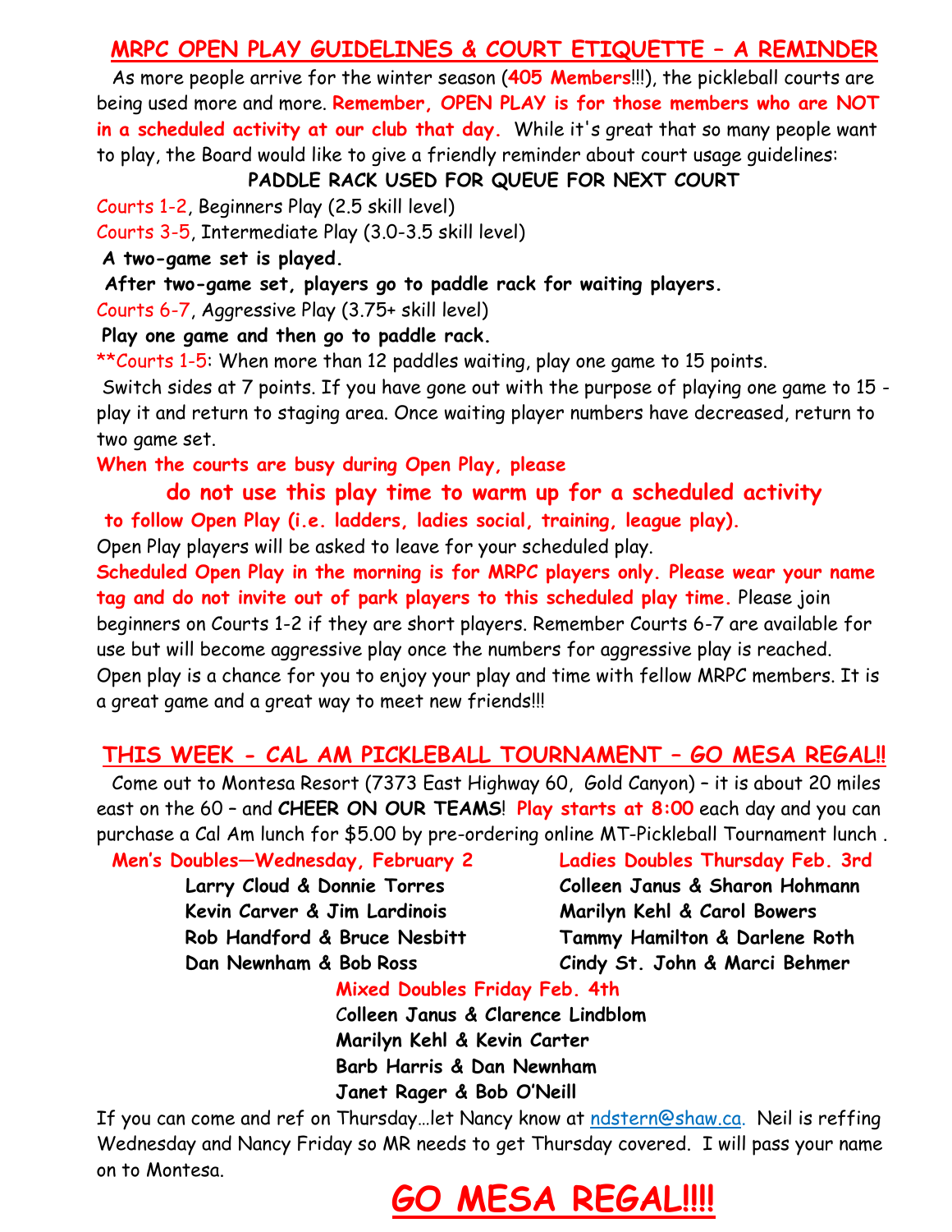## **MRPC OPEN PLAY GUIDELINES & COURT ETIQUETTE – A REMINDER**

As more people arrive for the winter season (**405 Members**!!!), the pickleball courts are being used more and more. **Remember, OPEN PLAY is for those members who are NOT in a scheduled activity at our club that day.** While it's great that so many people want to play, the Board would like to give a friendly reminder about court usage guidelines:

**PADDLE RACK USED FOR QUEUE FOR NEXT COURT**

Courts 1-2, Beginners Play (2.5 skill level)

Courts 3-5, Intermediate Play (3.0-3.5 skill level)

**A two-game set is played.**

**After two-game set, players go to paddle rack for waiting players.**

Courts 6-7, Aggressive Play (3.75+ skill level)

**Play one game and then go to paddle rack.**

\*\*Courts 1-5: When more than 12 paddles waiting, play one game to 15 points.

Switch sides at 7 points. If you have gone out with the purpose of playing one game to 15 play it and return to staging area. Once waiting player numbers have decreased, return to two game set.

**When the courts are busy during Open Play, please**

**do not use this play time to warm up for a scheduled activity to follow Open Play (i.e. ladders, ladies social, training, league play).**

Open Play players will be asked to leave for your scheduled play.

**Scheduled Open Play in the morning is for MRPC players only. Please wear your name tag and do not invite out of park players to this scheduled play time.** Please join beginners on Courts 1-2 if they are short players. Remember Courts 6-7 are available for use but will become aggressive play once the numbers for aggressive play is reached. Open play is a chance for you to enjoy your play and time with fellow MRPC members. It is a great game and a great way to meet new friends!!!

## **THIS WEEK - CAL AM PICKLEBALL TOURNAMENT – GO MESA REGAL!!**

Come out to Montesa Resort (7373 East Highway 60, Gold Canyon) – it is about 20 miles east on the 60 – and **CHEER ON OUR TEAMS**! **Play starts at 8:00** each day and you can purchase a Cal Am lunch for \$5.00 by pre-ordering online MT-Pickleball Tournament lunch .

**Men's Doubles—Wednesday, February 2 Ladies Doubles Thursday Feb. 3rd**

 **Kevin Carver & Jim Lardinois Marilyn Kehl & Carol Bowers**

 **Larry Cloud & Donnie Torres Colleen Janus & Sharon Hohmann Rob Handford & Bruce Nesbitt Tammy Hamilton & Darlene Roth Dan Newnham & Bob Ross Cindy St. John & Marci Behmer**

**Mixed Doubles Friday Feb. 4th**

 C**olleen Janus & Clarence Lindblom Marilyn Kehl & Kevin Carter Barb Harris & Dan Newnham Janet Rager & Bob O'Neill**

If you can come and ref on Thursday…let Nancy know at [ndstern@shaw.ca.](mailto:ndstern@shaw.ca) Neil is reffing Wednesday and Nancy Friday so MR needs to get Thursday covered. I will pass your name on to Montesa.

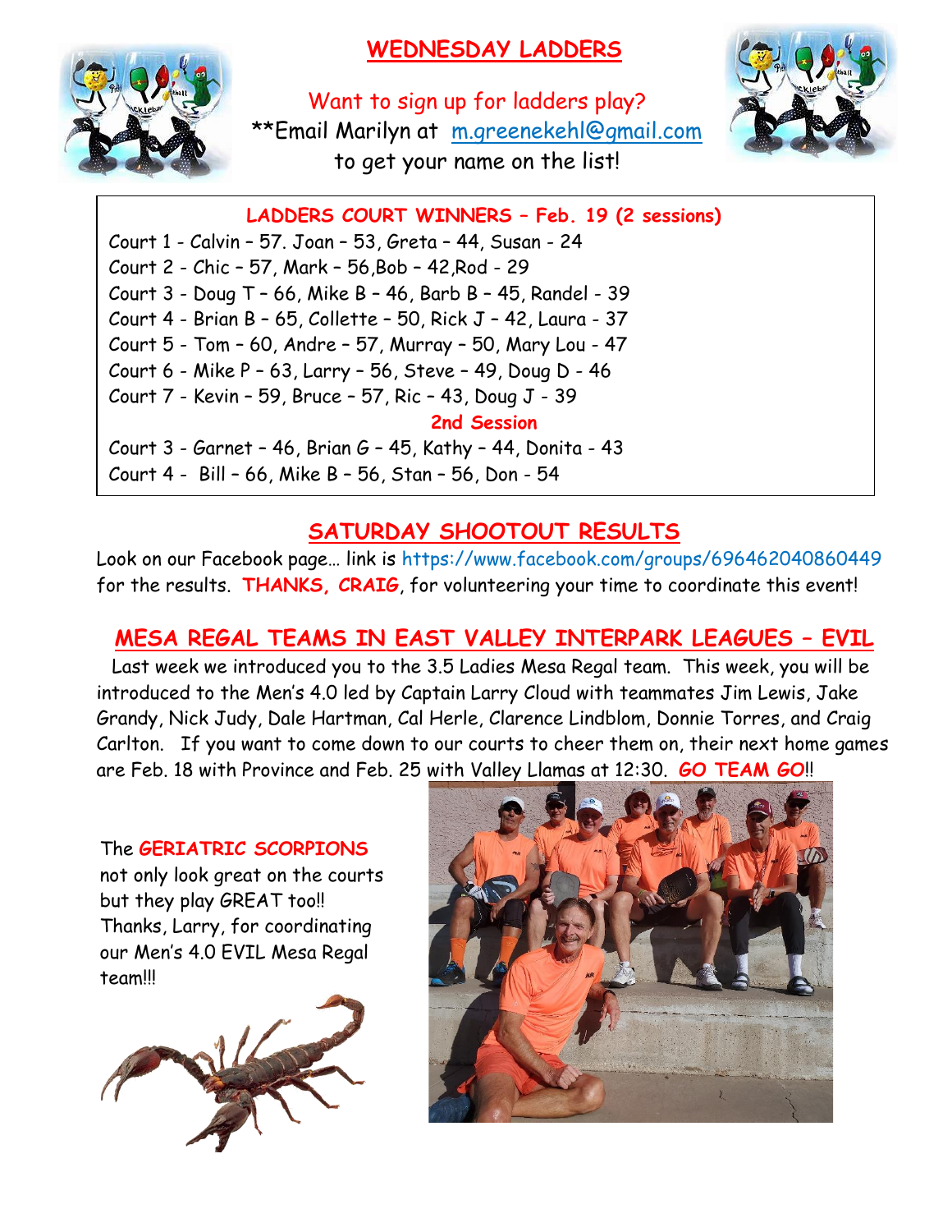# **WEDNESDAY LADDERS**



Want to sign up for ladders play? \*\*Email Marilyn at [m.greenekehl@gmail.com](mailto:m.greenekehl@gmail.com) to get your name on the list!



**LADDERS COURT WINNERS – Feb. 19 (2 sessions)**

Court 1 - Calvin – 57. Joan – 53, Greta – 44, Susan - 24 Court 2 - Chic – 57, Mark – 56,Bob – 42,Rod - 29 Court 3 - Doug T – 66, Mike B – 46, Barb B – 45, Randel - 39 Court 4 - Brian B – 65, Collette – 50, Rick J – 42, Laura - 37 Court 5 - Tom – 60, Andre – 57, Murray – 50, Mary Lou - 47 Court 6 - Mike P – 63, Larry – 56, Steve – 49, Doug D - 46 Court 7 - Kevin – 59, Bruce – 57, Ric – 43, Doug J - 39 **2nd Session** Court 3 - Garnet – 46, Brian G – 45, Kathy – 44, Donita - 43 Court 4 - Bill – 66, Mike B – 56, Stan – 56, Don - 54

## **SATURDAY SHOOTOUT RESULTS**

Look on our Facebook page… link is https://www.facebook.com/groups/696462040860449 for the results. **THANKS, CRAIG**, for volunteering your time to coordinate this event!

# **MESA REGAL TEAMS IN EAST VALLEY INTERPARK LEAGUES – EVIL**

Last week we introduced you to the 3.5 Ladies Mesa Regal team. This week, you will be introduced to the Men's 4.0 led by Captain Larry Cloud with teammates Jim Lewis, Jake Grandy, Nick Judy, Dale Hartman, Cal Herle, Clarence Lindblom, Donnie Torres, and Craig Carlton. If you want to come down to our courts to cheer them on, their next home games are Feb. 18 with Province and Feb. 25 with Valley Llamas at 12:30. **GO TEAM GO**!!

The **GERIATRIC SCORPIONS** not only look great on the courts but they play GREAT too!! Thanks, Larry, for coordinating our Men's 4.0 EVIL Mesa Regal team!!!